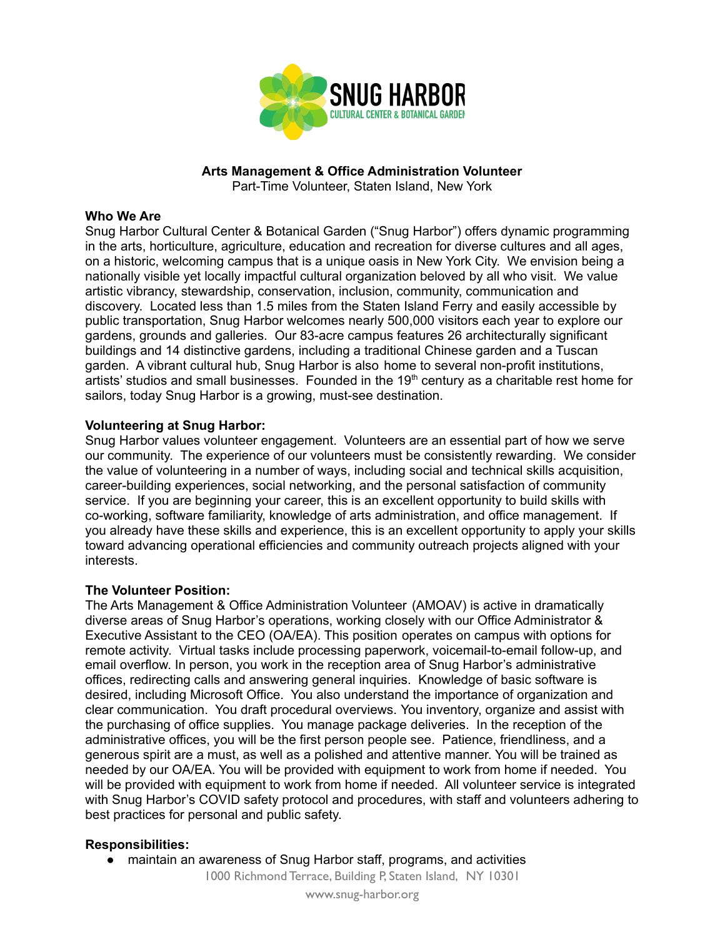

# **Arts Management & Office Administration Volunteer**

Part-Time Volunteer, Staten Island, New York

### **Who We Are**

Snug Harbor Cultural Center & Botanical Garden ("Snug Harbor") offers dynamic programming in the arts, horticulture, agriculture, education and recreation for diverse cultures and all ages, on a historic, welcoming campus that is a unique oasis in New York City. We envision being a nationally visible yet locally impactful cultural organization beloved by all who visit. We value artistic vibrancy, stewardship, conservation, inclusion, community, communication and discovery. Located less than 1.5 miles from the Staten Island Ferry and easily accessible by public transportation, Snug Harbor welcomes nearly 500,000 visitors each year to explore our gardens, grounds and galleries. Our 83-acre campus features 26 architecturally significant buildings and 14 distinctive gardens, including a traditional Chinese garden and a Tuscan garden. A vibrant cultural hub, Snug Harbor is also home to several non-profit institutions, artists' studios and small businesses. Founded in the  $19<sup>th</sup>$  century as a charitable rest home for sailors, today Snug Harbor is a growing, must-see destination.

### **Volunteering at Snug Harbor:**

Snug Harbor values volunteer engagement. Volunteers are an essential part of how we serve our community. The experience of our volunteers must be consistently rewarding. We consider the value of volunteering in a number of ways, including social and technical skills acquisition, career-building experiences, social networking, and the personal satisfaction of community service. If you are beginning your career, this is an excellent opportunity to build skills with co-working, software familiarity, knowledge of arts administration, and office management. If you already have these skills and experience, this is an excellent opportunity to apply your skills toward advancing operational efficiencies and community outreach projects aligned with your interests.

## **The Volunteer Position:**

The Arts Management & Office Administration Volunteer (AMOAV) is active in dramatically diverse areas of Snug Harbor's operations, working closely with our Office Administrator & Executive Assistant to the CEO (OA/EA). This position operates on campus with options for remote activity. Virtual tasks include processing paperwork, voicemail-to-email follow-up, and email overflow. In person, you work in the reception area of Snug Harbor's administrative offices, redirecting calls and answering general inquiries. Knowledge of basic software is desired, including Microsoft Office. You also understand the importance of organization and clear communication. You draft procedural overviews. You inventory, organize and assist with the purchasing of office supplies. You manage package deliveries. In the reception of the administrative offices, you will be the first person people see. Patience, friendliness, and a generous spirit are a must, as well as a polished and attentive manner. You will be trained as needed by our OA/EA. You will be provided with equipment to work from home if needed. You will be provided with equipment to work from home if needed. All volunteer service is integrated with Snug Harbor's COVID safety protocol and procedures, with staff and volunteers adhering to best practices for personal and public safety.

## **Responsibilities:**

• maintain an awareness of Snug Harbor staff, programs, and activities

1000 Richmond Terrace, Building P, Staten Island, NY 10301